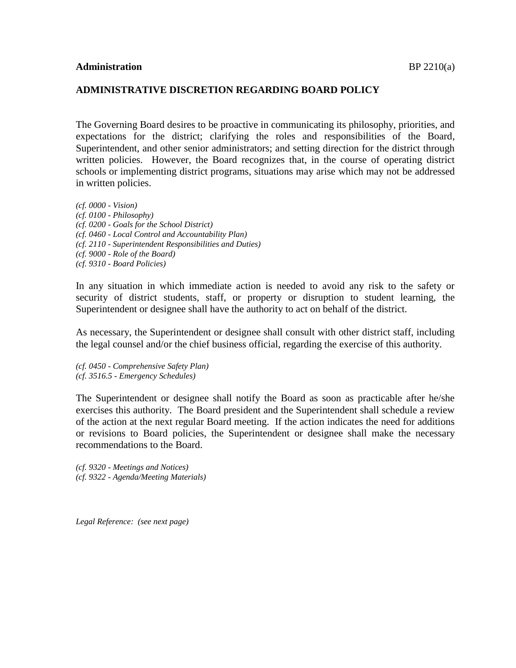## **ADMINISTRATIVE DISCRETION REGARDING BOARD POLICY**

The Governing Board desires to be proactive in communicating its philosophy, priorities, and expectations for the district; clarifying the roles and responsibilities of the Board, Superintendent, and other senior administrators; and setting direction for the district through written policies. However, the Board recognizes that, in the course of operating district schools or implementing district programs, situations may arise which may not be addressed in written policies.

*(cf. 0000 - Vision) (cf. 0100 - Philosophy) (cf. 0200 - Goals for the School District) (cf. 0460 - Local Control and Accountability Plan) (cf. 2110 - Superintendent Responsibilities and Duties) (cf. 9000 - Role of the Board) (cf. 9310 - Board Policies)*

In any situation in which immediate action is needed to avoid any risk to the safety or security of district students, staff, or property or disruption to student learning, the Superintendent or designee shall have the authority to act on behalf of the district.

As necessary, the Superintendent or designee shall consult with other district staff, including the legal counsel and/or the chief business official, regarding the exercise of this authority.

*(cf. 0450 - Comprehensive Safety Plan) (cf. 3516.5 - Emergency Schedules)*

The Superintendent or designee shall notify the Board as soon as practicable after he/she exercises this authority. The Board president and the Superintendent shall schedule a review of the action at the next regular Board meeting. If the action indicates the need for additions or revisions to Board policies, the Superintendent or designee shall make the necessary recommendations to the Board.

*(cf. 9320 - Meetings and Notices) (cf. 9322 - Agenda/Meeting Materials)*

*Legal Reference: (see next page)*